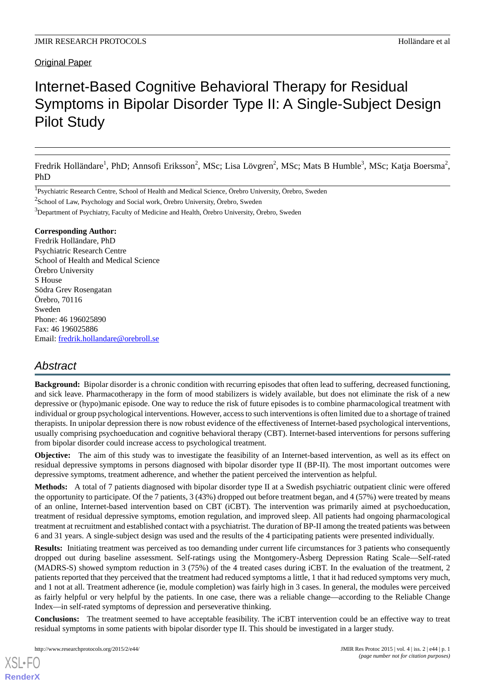# Original Paper

# Internet-Based Cognitive Behavioral Therapy for Residual Symptoms in Bipolar Disorder Type II: A Single-Subject Design Pilot Study

Fredrik Holländare<sup>1</sup>, PhD; Annsofi Eriksson<sup>2</sup>, MSc; Lisa Lövgren<sup>2</sup>, MSc; Mats B Humble<sup>3</sup>, MSc; Katja Boersma<sup>2</sup>, PhD

<sup>1</sup>Psychiatric Research Centre, School of Health and Medical Science, Örebro University, Örebro, Sweden

<sup>2</sup>School of Law, Psychology and Social work, Örebro University, Örebro, Sweden

<sup>3</sup>Department of Psychiatry, Faculty of Medicine and Health, Örebro University, Örebro, Sweden

## **Corresponding Author:**

Fredrik Holländare, PhD Psychiatric Research Centre School of Health and Medical Science Örebro University S House Södra Grev Rosengatan Örebro, 70116 Sweden Phone: 46 196025890 Fax: 46 196025886 Email: [fredrik.hollandare@orebroll.se](mailto:fredrik.hollandare@orebroll.se)

# *Abstract*

**Background:** Bipolar disorder is a chronic condition with recurring episodes that often lead to suffering, decreased functioning, and sick leave. Pharmacotherapy in the form of mood stabilizers is widely available, but does not eliminate the risk of a new depressive or (hypo)manic episode. One way to reduce the risk of future episodes is to combine pharmacological treatment with individual or group psychological interventions. However, access to such interventions is often limited due to a shortage of trained therapists. In unipolar depression there is now robust evidence of the effectiveness of Internet-based psychological interventions, usually comprising psychoeducation and cognitive behavioral therapy (CBT). Internet-based interventions for persons suffering from bipolar disorder could increase access to psychological treatment.

**Objective:** The aim of this study was to investigate the feasibility of an Internet-based intervention, as well as its effect on residual depressive symptoms in persons diagnosed with bipolar disorder type II (BP-II). The most important outcomes were depressive symptoms, treatment adherence, and whether the patient perceived the intervention as helpful.

**Methods:** A total of 7 patients diagnosed with bipolar disorder type II at a Swedish psychiatric outpatient clinic were offered the opportunity to participate. Of the 7 patients, 3 (43%) dropped out before treatment began, and 4 (57%) were treated by means of an online, Internet-based intervention based on CBT (iCBT). The intervention was primarily aimed at psychoeducation, treatment of residual depressive symptoms, emotion regulation, and improved sleep. All patients had ongoing pharmacological treatment at recruitment and established contact with a psychiatrist. The duration of BP-II among the treated patients was between 6 and 31 years. A single-subject design was used and the results of the 4 participating patients were presented individually.

**Results:** Initiating treatment was perceived as too demanding under current life circumstances for 3 patients who consequently dropped out during baseline assessment. Self-ratings using the Montgomery-Åsberg Depression Rating Scale—Self-rated (MADRS-S) showed symptom reduction in 3 (75%) of the 4 treated cases during iCBT. In the evaluation of the treatment, 2 patients reported that they perceived that the treatment had reduced symptoms a little, 1 that it had reduced symptoms very much, and 1 not at all. Treatment adherence (ie, module completion) was fairly high in 3 cases. In general, the modules were perceived as fairly helpful or very helpful by the patients. In one case, there was a reliable change—according to the Reliable Change Index—in self-rated symptoms of depression and perseverative thinking.

**Conclusions:** The treatment seemed to have acceptable feasibility. The iCBT intervention could be an effective way to treat residual symptoms in some patients with bipolar disorder type II. This should be investigated in a larger study.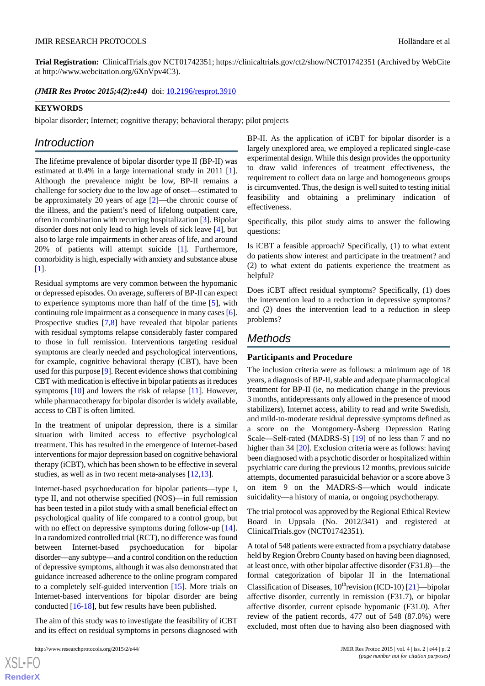**Trial Registration:** ClinicalTrials.gov NCT01742351; https://clinicaltrials.gov/ct2/show/NCT01742351 (Archived by WebCite at http://www.webcitation.org/6XnVpv4C3).

(JMIR Res Protoc 2015;4(2):e44) doi: [10.2196/resprot.3910](http://dx.doi.org/10.2196/resprot.3910)

## **KEYWORDS**

bipolar disorder; Internet; cognitive therapy; behavioral therapy; pilot projects

# *Introduction*

The lifetime prevalence of bipolar disorder type II (BP-II) was estimated at 0.4% in a large international study in 2011 [[1\]](#page-11-0). Although the prevalence might be low, BP-II remains a challenge for society due to the low age of onset—estimated to be approximately 20 years of age [[2\]](#page-11-1)—the chronic course of the illness, and the patient's need of lifelong outpatient care, often in combination with recurring hospitalization [[3\]](#page-11-2). Bipolar disorder does not only lead to high levels of sick leave [[4\]](#page-11-3), but also to large role impairments in other areas of life, and around 20% of patients will attempt suicide [\[1](#page-11-0)]. Furthermore*,* comorbidity is high, especially with anxiety and substance abuse [[1\]](#page-11-0).

Residual symptoms are very common between the hypomanic or depressed episodes. On average, sufferers of BP-II can expect to experience symptoms more than half of the time [[5\]](#page-11-4), with continuing role impairment as a consequence in many cases [[6\]](#page-11-5). Prospective studies [\[7](#page-11-6),[8\]](#page-11-7) have revealed that bipolar patients with residual symptoms relapse considerably faster compared to those in full remission. Interventions targeting residual symptoms are clearly needed and psychological interventions, for example, cognitive behavioral therapy (CBT), have been used for this purpose [\[9](#page-11-8)]. Recent evidence shows that combining CBT with medication is effective in bipolar patients as it reduces symptoms [\[10](#page-11-9)] and lowers the risk of relapse [\[11](#page-11-10)]. However, while pharmacotherapy for bipolar disorder is widely available, access to CBT is often limited.

In the treatment of unipolar depression, there is a similar situation with limited access to effective psychological treatment. This has resulted in the emergence of Internet-based interventions for major depression based on cognitive behavioral therapy (iCBT), which has been shown to be effective in several studies, as well as in two recent meta-analyses [[12](#page-11-11)[,13](#page-11-12)].

Internet-based psychoeducation for bipolar patients—type I*,* type II, and not otherwise specified (NOS)—in full remission has been tested in a pilot study with a small beneficial effect on psychological quality of life compared to a control group, but with no effect on depressive symptoms during follow-up [[14\]](#page-12-0). In a randomized controlled trial (RCT), no difference was found between Internet-based psychoeducation for bipolar disorder—any subtype—and a control condition on the reduction of depressive symptoms, although it was also demonstrated that guidance increased adherence to the online program compared to a completely self-guided intervention [[15\]](#page-12-1). More trials on Internet-based interventions for bipolar disorder are being conducted [\[16](#page-12-2)-[18\]](#page-12-3), but few results have been published.

The aim of this study was to investigate the feasibility of iCBT and its effect on residual symptoms in persons diagnosed with

 $XSI - F($ **[RenderX](http://www.renderx.com/)** BP-II. As the application of iCBT for bipolar disorder is a largely unexplored area, we employed a replicated single-case experimental design. While this design provides the opportunity to draw valid inferences of treatment effectiveness, the requirement to collect data on large and homogeneous groups is circumvented. Thus, the design is well suited to testing initial feasibility and obtaining a preliminary indication of effectiveness.

Specifically, this pilot study aims to answer the following questions:

Is iCBT a feasible approach? Specifically, (1) to what extent do patients show interest and participate in the treatment? and (2) to what extent do patients experience the treatment as helpful?

Does iCBT affect residual symptoms? Specifically, (1) does the intervention lead to a reduction in depressive symptoms? and (2) does the intervention lead to a reduction in sleep problems?

# *Methods*

# **Participants and Procedure**

The inclusion criteria were as follows: a minimum age of 18 years, a diagnosis of BP-II, stable and adequate pharmacological treatment for BP-II (ie, no medication change in the previous 3 months, antidepressants only allowed in the presence of mood stabilizers), Internet access, ability to read and write Swedish, and mild-to-moderate residual depressive symptoms defined as a score on the Montgomery-Åsberg Depression Rating Scale—Self-rated (MADRS-S) [[19\]](#page-12-4) of no less than 7 and no higher than 34 [[20\]](#page-12-5). Exclusion criteria were as follows: having been diagnosed with a psychotic disorder or hospitalized within psychiatric care during the previous 12 months, previous suicide attempts, documented parasuicidal behavior or a score above 3 on item 9 on the MADRS-S—which would indicate suicidality—a history of mania, or ongoing psychotherapy.

The trial protocol was approved by the Regional Ethical Review Board in Uppsala (No. 2012/341) and registered at ClinicalTrials.gov (NCT01742351).

A total of 548 patients were extracted from a psychiatry database held by Region Örebro County based on having been diagnosed, at least once, with other bipolar affective disorder (F31.8)—the formal categorization of bipolar II in the International Classification of Diseases,  $10^{th}$ revision (ICD-10) [\[21](#page-12-6)]—bipolar affective disorder, currently in remission (F31.7), or bipolar affective disorder, current episode hypomanic (F31.0). After review of the patient records, 477 out of 548 (87.0%) were excluded, most often due to having also been diagnosed with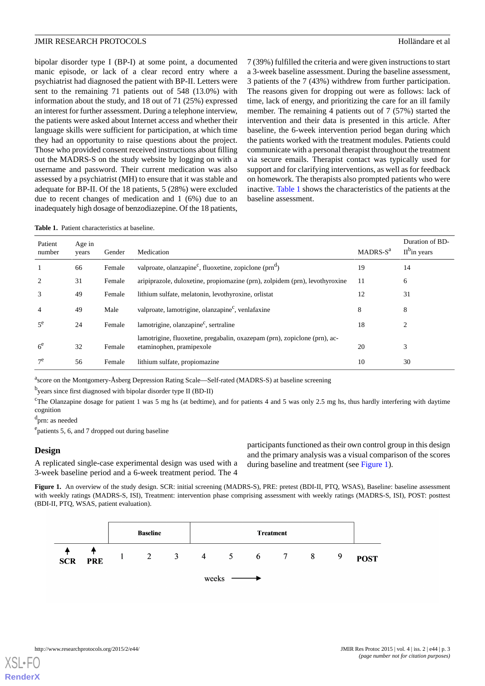bipolar disorder type I (BP-I) at some point, a documented manic episode, or lack of a clear record entry where a psychiatrist had diagnosed the patient with BP-II. Letters were sent to the remaining 71 patients out of 548 (13.0%) with information about the study, and 18 out of 71 (25%) expressed an interest for further assessment. During a telephone interview, the patients were asked about Internet access and whether their language skills were sufficient for participation, at which time they had an opportunity to raise questions about the project. Those who provided consent received instructions about filling out the MADRS-S on the study website by logging on with a username and password. Their current medication was also assessed by a psychiatrist (MH) to ensure that it was stable and adequate for BP-II. Of the 18 patients, 5 (28%) were excluded due to recent changes of medication and 1 (6%) due to an inadequately high dosage of benzodiazepine. Of the 18 patients, 7 (39%) fulfilled the criteria and were given instructions to start a 3-week baseline assessment. During the baseline assessment, 3 patients of the 7 (43%) withdrew from further participation. The reasons given for dropping out were as follows: lack of time, lack of energy, and prioritizing the care for an ill family member. The remaining 4 patients out of 7 (57%) started the intervention and their data is presented in this article. After baseline, the 6-week intervention period began during which the patients worked with the treatment modules. Patients could communicate with a personal therapist throughout the treatment via secure emails. Therapist contact was typically used for support and for clarifying interventions, as well as for feedback on homework. The therapists also prompted patients who were inactive. [Table 1](#page-2-0) shows the characteristics of the patients at the baseline assessment.

<span id="page-2-0"></span>**Table 1.** Patient characteristics at baseline.

| Patient<br>number | Age in<br>years | Gender | Medication                                                                                            | MADRS-S <sup>a</sup> | Duration of BD-<br>$II^{\text{b}}$ in years |
|-------------------|-----------------|--------|-------------------------------------------------------------------------------------------------------|----------------------|---------------------------------------------|
|                   | 66              | Female | valproate, olanzapine <sup>c</sup> , fluoxetine, zopiclone (prn <sup>d</sup> )                        | 19                   | 14                                          |
| 2                 | 31              | Female | aripiprazole, duloxetine, propiomazine (prn), zolpidem (prn), levothyroxine                           | 11                   | 6                                           |
| 3                 | 49              | Female | lithium sulfate, melatonin, levothyroxine, orlistat                                                   | 12                   | 31                                          |
| $\overline{4}$    | 49              | Male   | valproate, lamotrigine, olanzapine <sup>c</sup> , venlafaxine                                         | 8                    | 8                                           |
| $5^e$             | 24              | Female | lamotrigine, olanzapine <sup>c</sup> , sertraline                                                     | 18                   | 2                                           |
| $6^e$             | 32              | Female | lamotrigine, fluoxetine, pregabalin, oxazepam (prn), zopiclone (prn), ac-<br>etaminophen, pramipexole | 20                   | 3                                           |
| $\tau$ e          | 56              | Female | lithium sulfate, propiomazine                                                                         | 10                   | 30                                          |

<sup>a</sup>score on the Montgomery-Åsberg Depression Rating Scale—Self-rated (MADRS-S) at baseline screening

byears since first diagnosed with bipolar disorder type II (BD-II)

<sup>c</sup>The Olanzapine dosage for patient 1 was 5 mg hs (at bedtime), and for patients 4 and 5 was only 2.5 mg hs, thus hardly interfering with daytime cognition

d prn: as needed

<span id="page-2-1"></span><sup>e</sup>patients 5, 6, and 7 dropped out during baseline

# **Design**

A replicated single-case experimental design was used with a 3-week baseline period and a 6-week treatment period. The 4

participants functioned as their own control group in this design and the primary analysis was a visual comparison of the scores during baseline and treatment (see [Figure 1\)](#page-2-1).

Figure 1. An overview of the study design. SCR: initial screening (MADRS-S), PRE: pretest (BDI-II, PTQ, WSAS), Baseline: baseline assessment with weekly ratings (MADRS-S, ISI), Treatment: intervention phase comprising assessment with weekly ratings (MADRS-S, ISI), POST: posttest (BDI-II, PTQ, WSAS, patient evaluation).



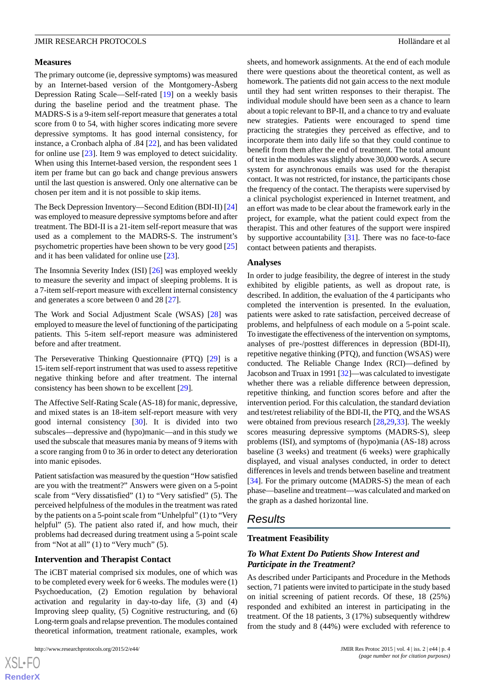#### **Measures**

The primary outcome (ie, depressive symptoms) was measured by an Internet-based version of the Montgomery-Åsberg Depression Rating Scale—Self-rated [[19\]](#page-12-4) on a weekly basis during the baseline period and the treatment phase. The MADRS-S is a 9-item self-report measure that generates a total score from 0 to 54, with higher scores indicating more severe depressive symptoms. It has good internal consistency*,* for instance, a Cronbach alpha of .84 [\[22](#page-12-7)]*,* and has been validated for online use [[23\]](#page-12-8). Item 9 was employed to detect suicidality. When using this Internet-based version, the respondent sees 1 item per frame but can go back and change previous answers until the last question is answered. Only one alternative can be chosen per item and it is not possible to skip items.

The Beck Depression Inventory—Second Edition (BDI-II) [\[24](#page-12-9)] was employed to measure depressive symptoms before and after treatment. The BDI-II is a 21-item self-report measure that was used as a complement to the MADRS-S. The instrument's psychometric properties have been shown to be very good [\[25](#page-12-10)] and it has been validated for online use [\[23](#page-12-8)].

The Insomnia Severity Index (ISI) [\[26](#page-12-11)] was employed weekly to measure the severity and impact of sleeping problems. It is a 7-item self-report measure with excellent internal consistency and generates a score between 0 and 28 [\[27](#page-12-12)].

The Work and Social Adjustment Scale (WSAS) [\[28](#page-12-13)] was employed to measure the level of functioning of the participating patients. This 5-item self-report measure was administered before and after treatment.

The Perseverative Thinking Questionnaire (PTQ) [\[29](#page-12-14)] is a 15-item self-report instrument that was used to assess repetitive negative thinking before and after treatment. The internal consistency has been shown to be excellent [\[29](#page-12-14)].

The Affective Self-Rating Scale (AS-18) for manic, depressive, and mixed states is an 18-item self-report measure with very good internal consistency [\[30](#page-12-15)]. It is divided into two subscales—depressive and (hypo)manic—and in this study we used the subscale that measures mania by means of 9 items with a score ranging from 0 to 36 in order to detect any deterioration into manic episodes.

Patient satisfaction was measured by the question "How satisfied are you with the treatment?" Answers were given on a 5-point scale from "Very dissatisfied" (1) to "Very satisfied" (5). The perceived helpfulness of the modules in the treatment was rated by the patients on a 5-point scale from "Unhelpful" (1) to "Very helpful" (5). The patient also rated if, and how much, their problems had decreased during treatment using a 5-point scale from "Not at all" (1) to "Very much" (5).

# **Intervention and Therapist Contact**

The iCBT material comprised six modules*,* one of which was to be completed every week for 6 weeks. The modules were (1) Psychoeducation, (2) Emotion regulation by behavioral activation and regularity in day-to-day life, (3) and (4) Improving sleep quality, (5) Cognitive restructuring, and (6) Long-term goals and relapse prevention. The modules contained theoretical information, treatment rationale, examples, work

 $XS$ -FO **[RenderX](http://www.renderx.com/)** sheets, and homework assignments. At the end of each module there were questions about the theoretical content, as well as homework. The patients did not gain access to the next module until they had sent written responses to their therapist. The individual module should have been seen as a chance to learn about a topic relevant to BP-II, and a chance to try and evaluate new strategies. Patients were encouraged to spend time practicing the strategies they perceived as effective, and to incorporate them into daily life so that they could continue to benefit from them after the end of treatment. The total amount of text in the modules was slightly above 30,000 words. A secure system for asynchronous emails was used for the therapist contact. It was not restricted, for instance, the participants chose the frequency of the contact. The therapists were supervised by a clinical psychologist experienced in Internet treatment, and an effort was made to be clear about the framework early in the project, for example, what the patient could expect from the therapist. This and other features of the support were inspired by supportive accountability  $[31]$  $[31]$ . There was no face-to-face contact between patients and therapists.

#### **Analyses**

In order to judge feasibility, the degree of interest in the study exhibited by eligible patients, as well as dropout rate, is described. In addition, the evaluation of the 4 participants who completed the intervention is presented. In the evaluation, patients were asked to rate satisfaction, perceived decrease of problems, and helpfulness of each module on a 5-point scale. To investigate the effectiveness of the intervention on symptoms, analyses of pre-/posttest differences in depression (BDI-II), repetitive negative thinking (PTQ), and function (WSAS) were conducted. The Reliable Change Index (RCI)—defined by Jacobson and Truax in 1991 [\[32](#page-12-17)]—was calculated to investigate whether there was a reliable difference between depression, repetitive thinking, and function scores before and after the intervention period. For this calculation, the standard deviation and test/retest reliability of the BDI-II, the PTQ, and the WSAS were obtained from previous research [[28](#page-12-13)[,29](#page-12-14),[33\]](#page-12-18). The weekly scores measuring depressive symptoms (MADRS-S), sleep problems (ISI), and symptoms of (hypo)mania (AS-18) across baseline (3 weeks) and treatment (6 weeks) were graphically displayed, and visual analyses conducted, in order to detect differences in levels and trends between baseline and treatment [[34\]](#page-12-19). For the primary outcome (MADRS-S) the mean of each phase—baseline and treatment—was calculated and marked on the graph as a dashed horizontal line.

# *Results*

#### **Treatment Feasibility**

# *To What Extent Do Patients Show Interest and Participate in the Treatment?*

As described under Participants and Procedure in the Methods section, 71 patients were invited to participate in the study based on initial screening of patient records. Of these*,* 18 (25%) responded and exhibited an interest in participating in the treatment. Of the 18 patients, 3 (17%) subsequently withdrew from the study and 8 (44%) were excluded with reference to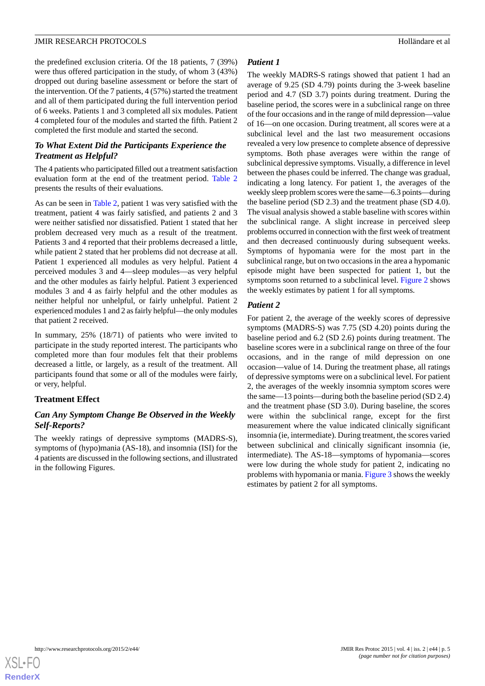the predefined exclusion criteria. Of the 18 patients, 7 (39%) were thus offered participation in the study, of whom 3 (43%) dropped out during baseline assessment or before the start of the intervention. Of the 7 patients, 4 (57%) started the treatment and all of them participated during the full intervention period of 6 weeks. Patients 1 and 3 completed all six modules. Patient 4 completed four of the modules and started the fifth. Patient 2 completed the first module and started the second.

# *To What Extent Did the Participants Experience the Treatment as Helpful?*

The 4 patients who participated filled out a treatment satisfaction evaluation form at the end of the treatment period. [Table 2](#page-5-0) presents the results of their evaluations.

As can be seen in [Table 2,](#page-5-0) patient 1 was very satisfied with the treatment, patient 4 was fairly satisfied, and patients 2 and 3 were neither satisfied nor dissatisfied. Patient 1 stated that her problem decreased very much as a result of the treatment. Patients 3 and 4 reported that their problems decreased a little, while patient 2 stated that her problems did not decrease at all. Patient 1 experienced all modules as very helpful. Patient 4 perceived modules 3 and 4—sleep modules—as very helpful and the other modules as fairly helpful. Patient 3 experienced modules 3 and 4 as fairly helpful and the other modules as neither helpful nor unhelpful, or fairly unhelpful. Patient 2 experienced modules 1 and 2 as fairly helpful—the only modules that patient 2 received.

In summary, 25% (18/71) of patients who were invited to participate in the study reported interest. The participants who completed more than four modules felt that their problems decreased a little, or largely, as a result of the treatment. All participants found that some or all of the modules were fairly, or very, helpful.

# **Treatment Effect**

# *Can Any Symptom Change Be Observed in the Weekly Self-Reports?*

The weekly ratings of depressive symptoms (MADRS-S), symptoms of (hypo)mania (AS-18), and insomnia (ISI) for the 4 patients are discussed in the following sections, and illustrated in the following Figures.

## *Patient 1*

The weekly MADRS-S ratings showed that patient 1 had an average of 9.25 (SD 4.79) points during the 3-week baseline period and 4.7 (SD 3.7) points during treatment. During the baseline period, the scores were in a subclinical range on three of the four occasions and in the range of mild depression—value of 16—on one occasion. During treatment, all scores were at a subclinical level and the last two measurement occasions revealed a very low presence to complete absence of depressive symptoms. Both phase averages were within the range of subclinical depressive symptoms. Visually, a difference in level between the phases could be inferred. The change was gradual, indicating a long latency. For patient 1, the averages of the weekly sleep problem scores were the same—6.3 points—during the baseline period (SD 2.3) and the treatment phase (SD 4.0). The visual analysis showed a stable baseline with scores within the subclinical range. A slight increase in perceived sleep problems occurred in connection with the first week of treatment and then decreased continuously during subsequent weeks. Symptoms of hypomania were for the most part in the subclinical range, but on two occasions in the area a hypomanic episode might have been suspected for patient 1, but the symptoms soon returned to a subclinical level. [Figure 2](#page-7-0) shows the weekly estimates by patient 1 for all symptoms.

# *Patient 2*

For patient 2, the average of the weekly scores of depressive symptoms (MADRS-S) was 7.75 (SD 4.20) points during the baseline period and 6.2 (SD 2.6) points during treatment. The baseline scores were in a subclinical range on three of the four occasions, and in the range of mild depression on one occasion—value of 14. During the treatment phase, all ratings of depressive symptoms were on a subclinical level. For patient 2, the averages of the weekly insomnia symptom scores were the same—13 points—during both the baseline period (SD 2.4) and the treatment phase (SD 3.0). During baseline, the scores were within the subclinical range, except for the first measurement where the value indicated clinically significant insomnia (ie, intermediate). During treatment, the scores varied between subclinical and clinically significant insomnia (ie, intermediate). The AS-18—symptoms of hypomania—scores were low during the whole study for patient 2, indicating no problems with hypomania or mania. [Figure 3](#page-8-0) shows the weekly estimates by patient 2 for all symptoms.

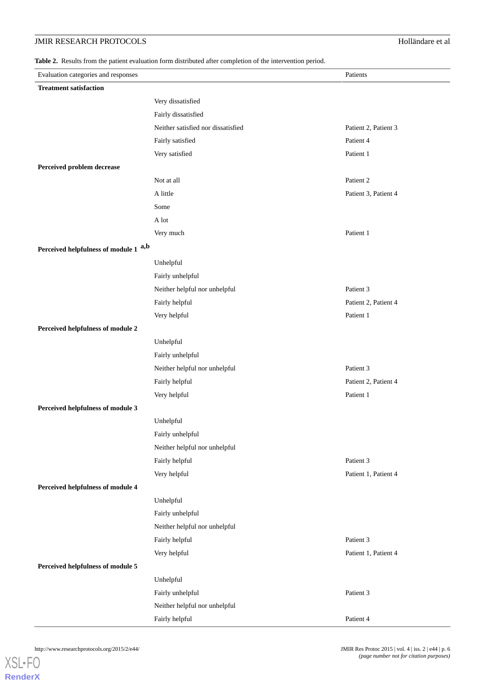# **JMIR RESEARCH PROTOCOLS** Holländare et al

<span id="page-5-0"></span>**Table 2.** Results from the patient evaluation form distributed after completion of the intervention period.

| Evaluation categories and responses   |                                    | Patients             |
|---------------------------------------|------------------------------------|----------------------|
| <b>Treatment satisfaction</b>         |                                    |                      |
|                                       | Very dissatisfied                  |                      |
|                                       | Fairly dissatisfied                |                      |
|                                       | Neither satisfied nor dissatisfied | Patient 2, Patient 3 |
|                                       | Fairly satisfied                   | Patient 4            |
|                                       | Very satisfied                     | Patient 1            |
| Perceived problem decrease            |                                    |                      |
|                                       | Not at all                         | Patient 2            |
|                                       | A little                           | Patient 3, Patient 4 |
|                                       | Some                               |                      |
|                                       | A lot                              |                      |
|                                       | Very much                          | Patient 1            |
| Perceived helpfulness of module 1 a,b |                                    |                      |
|                                       | Unhelpful                          |                      |
|                                       | Fairly unhelpful                   |                      |
|                                       | Neither helpful nor unhelpful      | Patient 3            |
|                                       | Fairly helpful                     | Patient 2, Patient 4 |
|                                       | Very helpful                       | Patient 1            |
| Perceived helpfulness of module 2     |                                    |                      |
|                                       | Unhelpful                          |                      |
|                                       | Fairly unhelpful                   |                      |
|                                       | Neither helpful nor unhelpful      | Patient 3            |
|                                       | Fairly helpful                     | Patient 2, Patient 4 |
|                                       | Very helpful                       | Patient 1            |
| Perceived helpfulness of module 3     |                                    |                      |
|                                       | Unhelpful                          |                      |
|                                       | Fairly unhelpful                   |                      |
|                                       | Neither helpful nor unhelpful      |                      |
|                                       | Fairly helpful                     | Patient 3            |
|                                       | Very helpful                       | Patient 1, Patient 4 |
| Perceived helpfulness of module 4     |                                    |                      |
|                                       | Unhelpful                          |                      |
|                                       | Fairly unhelpful                   |                      |
|                                       | Neither helpful nor unhelpful      |                      |
|                                       | Fairly helpful                     | Patient 3            |
|                                       | Very helpful                       | Patient 1, Patient 4 |
| Perceived helpfulness of module 5     |                                    |                      |
|                                       | Unhelpful                          |                      |
|                                       | Fairly unhelpful                   | Patient 3            |
|                                       | Neither helpful nor unhelpful      |                      |
|                                       | Fairly helpful                     | Patient 4            |

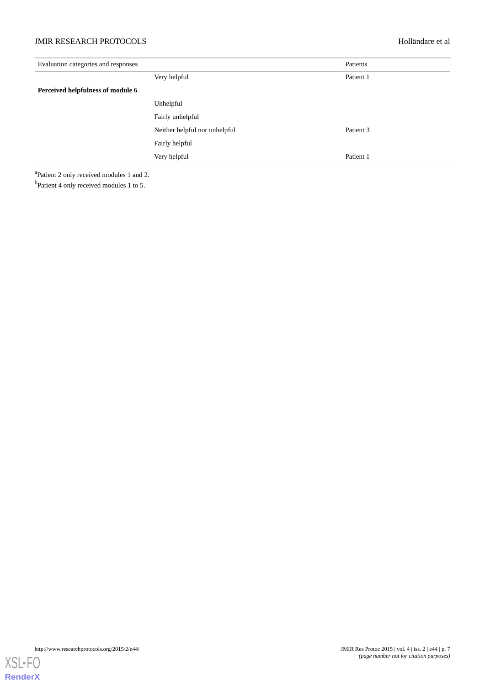# **JMIR RESEARCH PROTOCOLS** Holländare et al

| Evaluation categories and responses | Patients                      |           |
|-------------------------------------|-------------------------------|-----------|
|                                     | Very helpful                  | Patient 1 |
| Perceived helpfulness of module 6   |                               |           |
|                                     | Unhelpful                     |           |
|                                     | Fairly unhelpful              |           |
|                                     | Neither helpful nor unhelpful | Patient 3 |
|                                     | Fairly helpful                |           |
|                                     | Very helpful                  | Patient 1 |

<sup>a</sup>Patient 2 only received modules 1 and 2.

<sup>b</sup>Patient 4 only received modules 1 to 5.

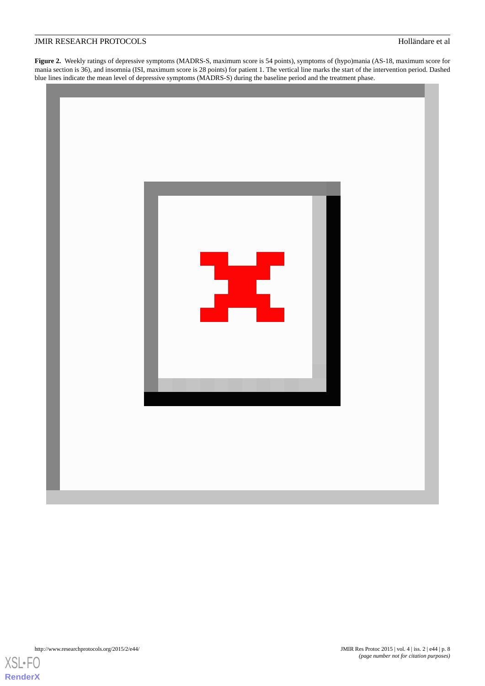<span id="page-7-0"></span>**Figure 2.** Weekly ratings of depressive symptoms (MADRS-S, maximum score is 54 points), symptoms of (hypo)mania (AS-18, maximum score for mania section is 36), and insomnia (ISI, maximum score is 28 points) for patient 1. The vertical line marks the start of the intervention period. Dashed blue lines indicate the mean level of depressive symptoms (MADRS-S) during the baseline period and the treatment phase.





**[RenderX](http://www.renderx.com/)**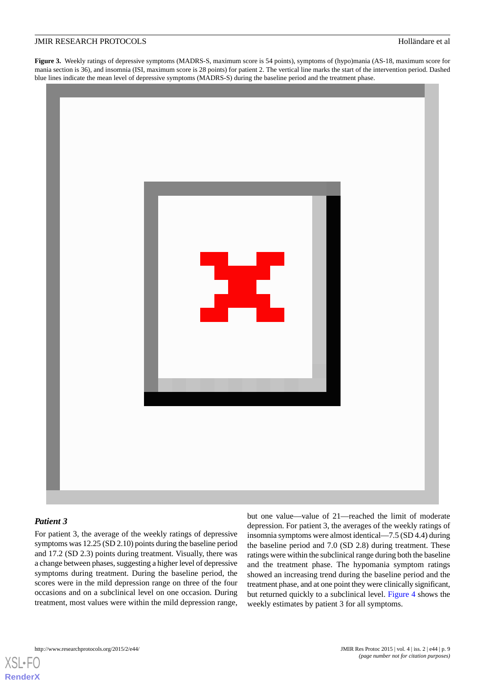<span id="page-8-0"></span>**Figure 3.** Weekly ratings of depressive symptoms (MADRS-S, maximum score is 54 points), symptoms of (hypo)mania (AS-18, maximum score for mania section is 36), and insomnia (ISI, maximum score is 28 points) for patient 2. The vertical line marks the start of the intervention period. Dashed blue lines indicate the mean level of depressive symptoms (MADRS-S) during the baseline period and the treatment phase.



# *Patient 3*

[XSL](http://www.w3.org/Style/XSL)•FO **[RenderX](http://www.renderx.com/)**

For patient 3, the average of the weekly ratings of depressive symptoms was 12.25 (SD 2.10) points during the baseline period and 17.2 (SD 2.3) points during treatment. Visually, there was a change between phases*,*suggesting a higher level of depressive symptoms during treatment. During the baseline period, the scores were in the mild depression range on three of the four occasions and on a subclinical level on one occasion. During treatment, most values were within the mild depression range,

but one value—value of 21—reached the limit of moderate depression. For patient 3, the averages of the weekly ratings of insomnia symptoms were almost identical—7.5 (SD 4.4) during the baseline period and 7.0 (SD 2.8) during treatment. These ratings were within the subclinical range during both the baseline and the treatment phase. The hypomania symptom ratings showed an increasing trend during the baseline period and the treatment phase, and at one point they were clinically significant, but returned quickly to a subclinical level. [Figure 4](#page-9-0) shows the weekly estimates by patient 3 for all symptoms.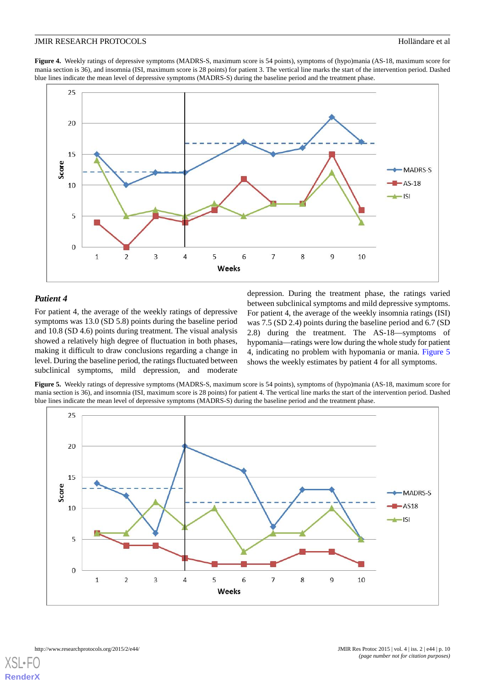<span id="page-9-0"></span>**Figure 4.** Weekly ratings of depressive symptoms (MADRS-S, maximum score is 54 points), symptoms of (hypo)mania (AS-18, maximum score for mania section is 36), and insomnia (ISI, maximum score is 28 points) for patient 3. The vertical line marks the start of the intervention period. Dashed blue lines indicate the mean level of depressive symptoms (MADRS-S) during the baseline period and the treatment phase.



# *Patient 4*

<span id="page-9-1"></span>For patient 4, the average of the weekly ratings of depressive symptoms was 13.0 (SD 5.8) points during the baseline period and 10.8 (SD 4.6) points during treatment. The visual analysis showed a relatively high degree of fluctuation in both phases, making it difficult to draw conclusions regarding a change in level. During the baseline period, the ratings fluctuated between subclinical symptoms, mild depression*,* and moderate depression. During the treatment phase, the ratings varied between subclinical symptoms and mild depressive symptoms. For patient 4, the average of the weekly insomnia ratings (ISI) was 7.5 (SD 2.4) points during the baseline period and 6.7 (SD 2.8) during the treatment. The AS-18—symptoms of hypomania—ratings were low during the whole study for patient 4, indicating no problem with hypomania or mania. [Figure 5](#page-9-1) shows the weekly estimates by patient 4 for all symptoms.

**Figure 5.** Weekly ratings of depressive symptoms (MADRS-S, maximum score is 54 points), symptoms of (hypo)mania (AS-18, maximum score for mania section is 36), and insomnia (ISI, maximum score is 28 points) for patient 4. The vertical line marks the start of the intervention period. Dashed blue lines indicate the mean level of depressive symptoms (MADRS-S) during the baseline period and the treatment phase.

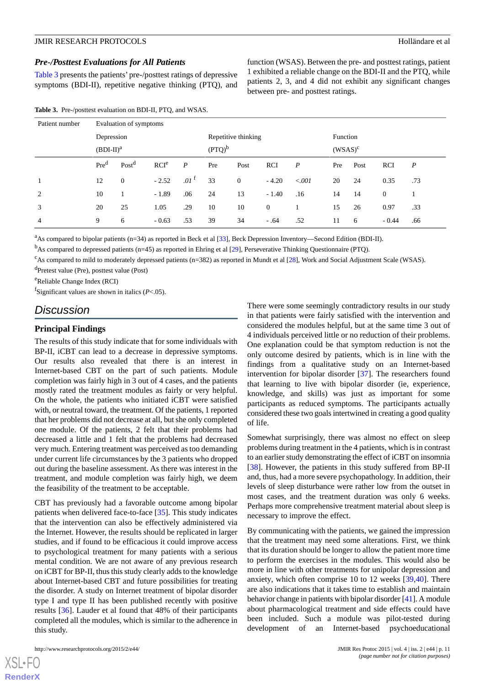### *Pre-/Posttest Evaluations for All Patients*

[Table 3](#page-10-0) presents the patients' pre-/posttest ratings of depressive symptoms (BDI-II), repetitive negative thinking (PTQ), and

| Patient number | Evaluation of symptoms |                   |                  |                  |                     |              |                  |                  |            |      |              |                  |
|----------------|------------------------|-------------------|------------------|------------------|---------------------|--------------|------------------|------------------|------------|------|--------------|------------------|
|                | Depression             |                   |                  |                  | Repetitive thinking |              |                  |                  | Function   |      |              |                  |
|                | $(BDI-II)a$            |                   |                  |                  | $(PTQ)^b$           |              |                  |                  | $(WSAS)^c$ |      |              |                  |
|                | $Pre^d$                | Post <sup>d</sup> | RCI <sup>e</sup> | $\overline{P}$   | Pre                 | Post         | RCI              | $\boldsymbol{P}$ | Pre        | Post | <b>RCI</b>   | $\boldsymbol{P}$ |
| 1              | 12                     | $\Omega$          | $-2.52$          | .01 <sup>T</sup> | 33                  | $\mathbf{0}$ | $-4.20$          | < 0.001          | 20         | 24   | 0.35         | .73              |
| 2              | 10                     |                   | $-1.89$          | .06              | 24                  | 13           | $-1.40$          | .16              | 14         | 14   | $\mathbf{0}$ |                  |
| 3              | 20                     | 25                | 1.05             | .29              | 10                  | 10           | $\boldsymbol{0}$ |                  | 15         | 26   | 0.97         | .33              |
| $\overline{4}$ | 9                      | 6                 | $-0.63$          | .53              | 39                  | 34           | $-.64$           | .52              | 11         | -6   | $-0.44$      | .66              |

<span id="page-10-0"></span>**Table 3.** Pre-/posttest evaluation on BDI-II, PTQ, and WSAS.

<sup>a</sup>As compared to bipolar patients (n=34) as reported in Beck et al [\[33\]](#page-12-18), Beck Depression Inventory—Second Edition (BDI-II).

 $<sup>b</sup>$ As compared to depressed patients (n=45) as reported in Ehring et al [\[29](#page-12-14)], Perseverative Thinking Questionnaire (PTQ).</sup>

 $c$ As compared to mild to moderately depressed patients (n=382) as reported in Mundt et al [[28](#page-12-13)], Work and Social Adjustment Scale (WSAS).

<sup>d</sup>Pretest value (Pre), posttest value (Post)

<sup>e</sup>Reliable Change Index (RCI)

f Significant values are shown in italics (*P*<.05).

# *Discussion*

#### **Principal Findings**

The results of this study indicate that for some individuals with BP-II, iCBT can lead to a decrease in depressive symptoms. Our results also revealed that there is an interest in Internet-based CBT on the part of such patients. Module completion was fairly high in 3 out of 4 cases, and the patients mostly rated the treatment modules as fairly or very helpful. On the whole, the patients who initiated iCBT were satisfied with, or neutral toward, the treatment. Of the patients, 1 reported that her problems did not decrease at all, but she only completed one module. Of the patients, 2 felt that their problems had decreased a little and 1 felt that the problems had decreased very much*.* Entering treatment was perceived as too demanding under current life circumstances by the 3 patients who dropped out during the baseline assessment. As there was interest in the treatment, and module completion was fairly high, we deem the feasibility of the treatment to be acceptable.

CBT has previously had a favorable outcome among bipolar patients when delivered face-to-face [\[35](#page-12-20)]. This study indicates that the intervention can also be effectively administered via the Internet. However, the results should be replicated in larger studies, and if found to be efficacious it could improve access to psychological treatment for many patients with a serious mental condition. We are not aware of any previous research on iCBT for BP-II, thus this study clearly adds to the knowledge about Internet-based CBT and future possibilities for treating the disorder. A study on Internet treatment of bipolar disorder type I and type II has been published recently with positive results [\[36](#page-12-21)]. Lauder et al found that 48% of their participants completed all the modules, which is similar to the adherence in this study.

There were some seemingly contradictory results in our study in that patients were fairly satisfied with the intervention and considered the modules helpful, but at the same time 3 out of 4 individuals perceived little or no reduction of their problems. One explanation could be that symptom reduction is not the only outcome desired by patients*,* which is in line with the findings from a qualitative study on an Internet-based intervention for bipolar disorder [\[37](#page-12-22)]. The researchers found that learning to live with bipolar disorder (ie, experience, knowledge, and skills) was just as important for some participants as reduced symptoms. The participants actually considered these two goals intertwined in creating a good quality of life.

function (WSAS). Between the pre- and posttest ratings, patient 1 exhibited a reliable change on the BDI-II and the PTQ, while patients 2, 3, and 4 did not exhibit any significant changes

between pre- and posttest ratings.

Somewhat surprisingly, there was almost no effect on sleep problems during treatment in the 4 patients, which is in contrast to an earlier study demonstrating the effect of iCBT on insomnia [[38\]](#page-13-0). However, the patients in this study suffered from BP-II and, thus, had a more severe psychopathology. In addition, their levels of sleep disturbance were rather low from the outset in most cases, and the treatment duration was only 6 weeks. Perhaps more comprehensive treatment material about sleep is necessary to improve the effect.

By communicating with the patients, we gained the impression that the treatment may need some alterations. First, we think that its duration should be longer to allow the patient more time to perform the exercises in the modules. This would also be more in line with other treatments for unipolar depression and anxiety*,* which often comprise 10 to 12 weeks [\[39](#page-13-1)[,40](#page-13-2)]. There are also indications that it takes time to establish and maintain behavior change in patients with bipolar disorder [[41\]](#page-13-3). A module about pharmacological treatment and side effects could have been included. Such a module was pilot-tested during development of an Internet-based psychoeducational

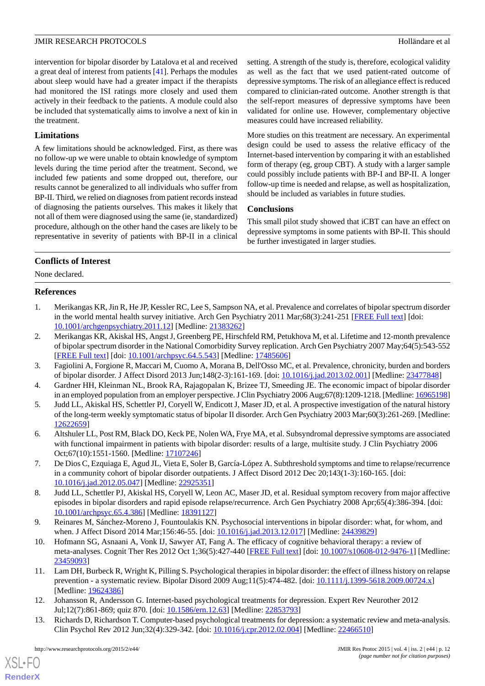intervention for bipolar disorder by Latalova et al and received a great deal of interest from patients [\[41](#page-13-3)]. Perhaps the modules about sleep would have had a greater impact if the therapists had monitored the ISI ratings more closely and used them actively in their feedback to the patients. A module could also be included that systematically aims to involve a next of kin in the treatment.

# **Limitations**

A few limitations should be acknowledged. First, as there was no follow-up we were unable to obtain knowledge of symptom levels during the time period after the treatment. Second, we included few patients and some dropped out, therefore, our results cannot be generalized to all individuals who suffer from BP-II. Third, we relied on diagnoses from patient records instead of diagnosing the patients ourselves. This makes it likely that not all of them were diagnosed using the same (ie, standardized) procedure, although on the other hand the cases are likely to be representative in severity of patients with BP-II in a clinical

setting. A strength of the study is, therefore, ecological validity as well as the fact that we used patient-rated outcome of depressive symptoms. The risk of an allegiance effect is reduced compared to clinician-rated outcome. Another strength is that the self-report measures of depressive symptoms have been validated for online use. However, complementary objective measures could have increased reliability.

More studies on this treatment are necessary. An experimental design could be used to assess the relative efficacy of the Internet-based intervention by comparing it with an established form of therapy (eg, group CBT). A study with a larger sample could possibly include patients with BP-I and BP-II. A longer follow-up time is needed and relapse, as well as hospitalization, should be included as variables in future studies.

# **Conclusions**

This small pilot study showed that iCBT can have an effect on depressive symptoms in some patients with BP-II. This should be further investigated in larger studies.

# **Conflicts of Interest**

<span id="page-11-0"></span>None declared.

# **References**

- <span id="page-11-1"></span>1. Merikangas KR, Jin R, He JP, Kessler RC, Lee S, Sampson NA, et al. Prevalence and correlates of bipolar spectrum disorder in the world mental health survey initiative. Arch Gen Psychiatry 2011 Mar;68(3):241-251 [[FREE Full text](http://europepmc.org/abstract/MED/21383262)] [doi: [10.1001/archgenpsychiatry.2011.12\]](http://dx.doi.org/10.1001/archgenpsychiatry.2011.12) [Medline: [21383262](http://www.ncbi.nlm.nih.gov/entrez/query.fcgi?cmd=Retrieve&db=PubMed&list_uids=21383262&dopt=Abstract)]
- <span id="page-11-3"></span><span id="page-11-2"></span>2. Merikangas KR, Akiskal HS, Angst J, Greenberg PE, Hirschfeld RM, Petukhova M, et al. Lifetime and 12-month prevalence of bipolar spectrum disorder in the National Comorbidity Survey replication. Arch Gen Psychiatry 2007 May;64(5):543-552 [[FREE Full text](http://europepmc.org/abstract/MED/17485606)] [doi: [10.1001/archpsyc.64.5.543\]](http://dx.doi.org/10.1001/archpsyc.64.5.543) [Medline: [17485606\]](http://www.ncbi.nlm.nih.gov/entrez/query.fcgi?cmd=Retrieve&db=PubMed&list_uids=17485606&dopt=Abstract)
- <span id="page-11-4"></span>3. Fagiolini A, Forgione R, Maccari M, Cuomo A, Morana B, Dell'Osso MC, et al. Prevalence, chronicity, burden and borders of bipolar disorder. J Affect Disord 2013 Jun;148(2-3):161-169. [doi: [10.1016/j.jad.2013.02.001](http://dx.doi.org/10.1016/j.jad.2013.02.001)] [Medline: [23477848](http://www.ncbi.nlm.nih.gov/entrez/query.fcgi?cmd=Retrieve&db=PubMed&list_uids=23477848&dopt=Abstract)]
- <span id="page-11-5"></span>4. Gardner HH, Kleinman NL, Brook RA, Rajagopalan K, Brizee TJ, Smeeding JE. The economic impact of bipolar disorder in an employed population from an employer perspective. J Clin Psychiatry 2006 Aug;67(8):1209-1218. [Medline: [16965198](http://www.ncbi.nlm.nih.gov/entrez/query.fcgi?cmd=Retrieve&db=PubMed&list_uids=16965198&dopt=Abstract)]
- <span id="page-11-6"></span>5. Judd LL, Akiskal HS, Schettler PJ, Coryell W, Endicott J, Maser JD, et al. A prospective investigation of the natural history of the long-term weekly symptomatic status of bipolar II disorder. Arch Gen Psychiatry 2003 Mar;60(3):261-269. [Medline: [12622659](http://www.ncbi.nlm.nih.gov/entrez/query.fcgi?cmd=Retrieve&db=PubMed&list_uids=12622659&dopt=Abstract)]
- <span id="page-11-7"></span>6. Altshuler LL, Post RM, Black DO, Keck PE, Nolen WA, Frye MA, et al. Subsyndromal depressive symptoms are associated with functional impairment in patients with bipolar disorder: results of a large, multisite study. J Clin Psychiatry 2006 Oct;67(10):1551-1560. [Medline: [17107246](http://www.ncbi.nlm.nih.gov/entrez/query.fcgi?cmd=Retrieve&db=PubMed&list_uids=17107246&dopt=Abstract)]
- <span id="page-11-8"></span>7. De Dios C, Ezquiaga E, Agud JL, Vieta E, Soler B, García-López A. Subthreshold symptoms and time to relapse/recurrence in a community cohort of bipolar disorder outpatients. J Affect Disord 2012 Dec 20;143(1-3):160-165. [doi: [10.1016/j.jad.2012.05.047\]](http://dx.doi.org/10.1016/j.jad.2012.05.047) [Medline: [22925351\]](http://www.ncbi.nlm.nih.gov/entrez/query.fcgi?cmd=Retrieve&db=PubMed&list_uids=22925351&dopt=Abstract)
- <span id="page-11-9"></span>8. Judd LL, Schettler PJ, Akiskal HS, Coryell W, Leon AC, Maser JD, et al. Residual symptom recovery from major affective episodes in bipolar disorders and rapid episode relapse/recurrence. Arch Gen Psychiatry 2008 Apr;65(4):386-394. [doi: [10.1001/archpsyc.65.4.386\]](http://dx.doi.org/10.1001/archpsyc.65.4.386) [Medline: [18391127\]](http://www.ncbi.nlm.nih.gov/entrez/query.fcgi?cmd=Retrieve&db=PubMed&list_uids=18391127&dopt=Abstract)
- <span id="page-11-10"></span>9. Reinares M, Sánchez-Moreno J, Fountoulakis KN. Psychosocial interventions in bipolar disorder: what, for whom, and when. J Affect Disord 2014 Mar;156:46-55. [doi: [10.1016/j.jad.2013.12.017\]](http://dx.doi.org/10.1016/j.jad.2013.12.017) [Medline: [24439829\]](http://www.ncbi.nlm.nih.gov/entrez/query.fcgi?cmd=Retrieve&db=PubMed&list_uids=24439829&dopt=Abstract)
- <span id="page-11-11"></span>10. Hofmann SG, Asnaani A, Vonk IJ, Sawyer AT, Fang A. The efficacy of cognitive behavioral therapy: a review of meta-analyses. Cognit Ther Res 2012 Oct 1;36(5):427-440 [\[FREE Full text\]](http://europepmc.org/abstract/MED/23459093) [doi: [10.1007/s10608-012-9476-1\]](http://dx.doi.org/10.1007/s10608-012-9476-1) [Medline: [23459093](http://www.ncbi.nlm.nih.gov/entrez/query.fcgi?cmd=Retrieve&db=PubMed&list_uids=23459093&dopt=Abstract)]
- <span id="page-11-12"></span>11. Lam DH, Burbeck R, Wright K, Pilling S. Psychological therapies in bipolar disorder: the effect of illness history on relapse prevention - a systematic review. Bipolar Disord 2009 Aug;11(5):474-482. [doi: [10.1111/j.1399-5618.2009.00724.x](http://dx.doi.org/10.1111/j.1399-5618.2009.00724.x)] [Medline: [19624386](http://www.ncbi.nlm.nih.gov/entrez/query.fcgi?cmd=Retrieve&db=PubMed&list_uids=19624386&dopt=Abstract)]
- 12. Johansson R, Andersson G. Internet-based psychological treatments for depression. Expert Rev Neurother 2012 Jul;12(7):861-869; quiz 870. [doi: [10.1586/ern.12.63](http://dx.doi.org/10.1586/ern.12.63)] [Medline: [22853793\]](http://www.ncbi.nlm.nih.gov/entrez/query.fcgi?cmd=Retrieve&db=PubMed&list_uids=22853793&dopt=Abstract)
- 13. Richards D, Richardson T. Computer-based psychological treatments for depression: a systematic review and meta-analysis. Clin Psychol Rev 2012 Jun;32(4):329-342. [doi: [10.1016/j.cpr.2012.02.004](http://dx.doi.org/10.1016/j.cpr.2012.02.004)] [Medline: [22466510](http://www.ncbi.nlm.nih.gov/entrez/query.fcgi?cmd=Retrieve&db=PubMed&list_uids=22466510&dopt=Abstract)]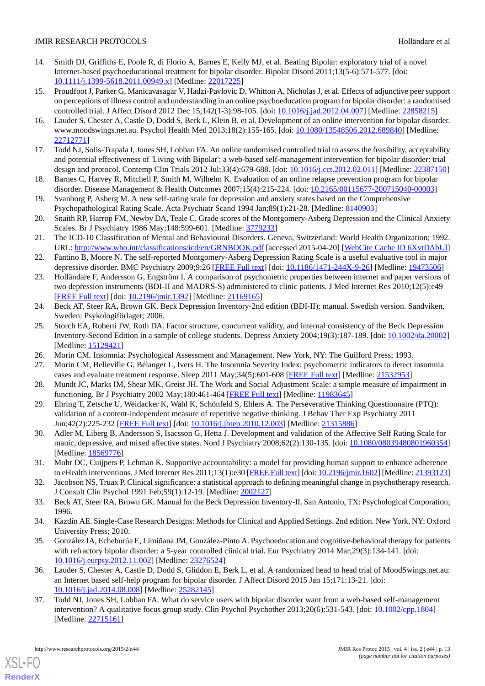- <span id="page-12-0"></span>14. Smith DJ, Griffiths E, Poole R, di Florio A, Barnes E, Kelly MJ, et al. Beating Bipolar: exploratory trial of a novel Internet-based psychoeducational treatment for bipolar disorder. Bipolar Disord 2011;13(5-6):571-577. [doi: [10.1111/j.1399-5618.2011.00949.x\]](http://dx.doi.org/10.1111/j.1399-5618.2011.00949.x) [Medline: [22017225\]](http://www.ncbi.nlm.nih.gov/entrez/query.fcgi?cmd=Retrieve&db=PubMed&list_uids=22017225&dopt=Abstract)
- <span id="page-12-1"></span>15. Proudfoot J, Parker G, Manicavasagar V, Hadzi-Pavlovic D, Whitton A, Nicholas J, et al. Effects of adjunctive peer support on perceptions of illness control and understanding in an online psychoeducation program for bipolar disorder: a randomised controlled trial. J Affect Disord 2012 Dec 15;142(1-3):98-105. [doi: [10.1016/j.jad.2012.04.007](http://dx.doi.org/10.1016/j.jad.2012.04.007)] [Medline: [22858215](http://www.ncbi.nlm.nih.gov/entrez/query.fcgi?cmd=Retrieve&db=PubMed&list_uids=22858215&dopt=Abstract)]
- <span id="page-12-2"></span>16. Lauder S, Chester A, Castle D, Dodd S, Berk L, Klein B, et al. Development of an online intervention for bipolar disorder. www.moodswings.net.au. Psychol Health Med 2013;18(2):155-165. [doi: [10.1080/13548506.2012.689840\]](http://dx.doi.org/10.1080/13548506.2012.689840) [Medline: [22712771](http://www.ncbi.nlm.nih.gov/entrez/query.fcgi?cmd=Retrieve&db=PubMed&list_uids=22712771&dopt=Abstract)]
- <span id="page-12-3"></span>17. Todd NJ, Solis-Trapala I, Jones SH, Lobban FA. An online randomised controlled trial to assess the feasibility, acceptability and potential effectiveness of 'Living with Bipolar': a web-based self-management intervention for bipolar disorder: trial design and protocol. Contemp Clin Trials 2012 Jul;33(4):679-688. [doi: [10.1016/j.cct.2012.02.011\]](http://dx.doi.org/10.1016/j.cct.2012.02.011) [Medline: [22387150](http://www.ncbi.nlm.nih.gov/entrez/query.fcgi?cmd=Retrieve&db=PubMed&list_uids=22387150&dopt=Abstract)]
- <span id="page-12-4"></span>18. Barnes C, Harvey R, Mitchell P, Smith M, Wilhelm K. Evaluation of an online relapse prevention program for bipolar disorder. Disease Management & Health Outcomes 2007;15(4):215-224. [doi: [10.2165/00115677-200715040-00003](http://dx.doi.org/10.2165/00115677-200715040-00003)]
- <span id="page-12-5"></span>19. Svanborg P, Asberg M. A new self-rating scale for depression and anxiety states based on the Comprehensive Psychopathological Rating Scale. Acta Psychiatr Scand 1994 Jan;89(1):21-28. [Medline: [8140903\]](http://www.ncbi.nlm.nih.gov/entrez/query.fcgi?cmd=Retrieve&db=PubMed&list_uids=8140903&dopt=Abstract)
- <span id="page-12-6"></span>20. Snaith RP, Harrop FM, Newby DA, Teale C. Grade scores of the Montgomery-Asberg Depression and the Clinical Anxiety Scales. Br J Psychiatry 1986 May;148:599-601. [Medline: [3779233](http://www.ncbi.nlm.nih.gov/entrez/query.fcgi?cmd=Retrieve&db=PubMed&list_uids=3779233&dopt=Abstract)]
- <span id="page-12-7"></span>21. The ICD-10 Classification of Mental and Behavioural Disorders. Geneva, Switzerland: World Health Organization; 1992. URL: <http://www.who.int/classifications/icd/en/GRNBOOK.pdf> [accessed 2015-04-20] [[WebCite Cache ID 6XvtDAbUl](http://www.webcitation.org/

                                    6XvtDAbUl)]
- <span id="page-12-8"></span>22. Fantino B, Moore N. The self-reported Montgomery-Asberg Depression Rating Scale is a useful evaluative tool in major depressive disorder. BMC Psychiatry 2009;9:26 [[FREE Full text](http://www.biomedcentral.com/1471-244X/9/26)] [doi: [10.1186/1471-244X-9-26](http://dx.doi.org/10.1186/1471-244X-9-26)] [Medline: [19473506\]](http://www.ncbi.nlm.nih.gov/entrez/query.fcgi?cmd=Retrieve&db=PubMed&list_uids=19473506&dopt=Abstract)
- <span id="page-12-9"></span>23. Holländare F, Andersson G, Engström I. A comparison of psychometric properties between internet and paper versions of two depression instruments (BDI-II and MADRS-S) administered to clinic patients. J Med Internet Res 2010;12(5):e49 [[FREE Full text](http://www.jmir.org/2010/5/e49/)] [doi: [10.2196/jmir.1392](http://dx.doi.org/10.2196/jmir.1392)] [Medline: [21169165](http://www.ncbi.nlm.nih.gov/entrez/query.fcgi?cmd=Retrieve&db=PubMed&list_uids=21169165&dopt=Abstract)]
- <span id="page-12-10"></span>24. Beck AT, Steer RA, Brown GK. Beck Depression Inventory-2nd edition (BDI-II): manual. Swedish version. Sandviken, Sweden: Psykologiförlaget; 2006.
- <span id="page-12-12"></span><span id="page-12-11"></span>25. Storch EA, Roberti JW, Roth DA. Factor structure, concurrent validity, and internal consistency of the Beck Depression Inventory-Second Edition in a sample of college students. Depress Anxiety 2004;19(3):187-189. [doi: [10.1002/da.20002](http://dx.doi.org/10.1002/da.20002)] [Medline: [15129421](http://www.ncbi.nlm.nih.gov/entrez/query.fcgi?cmd=Retrieve&db=PubMed&list_uids=15129421&dopt=Abstract)]
- <span id="page-12-13"></span>26. Morin CM. Insomnia: Psychological Assessment and Management. New York, NY: The Guilford Press; 1993.
- <span id="page-12-14"></span>27. Morin CM, Belleville G, Bélanger L, Ivers H. The Insomnia Severity Index: psychometric indicators to detect insomnia cases and evaluate treatment response. Sleep 2011 May;34(5):601-608 [[FREE Full text\]](http://europepmc.org/abstract/MED/21532953) [Medline: [21532953\]](http://www.ncbi.nlm.nih.gov/entrez/query.fcgi?cmd=Retrieve&db=PubMed&list_uids=21532953&dopt=Abstract)
- <span id="page-12-15"></span>28. Mundt JC, Marks IM, Shear MK, Greist JH. The Work and Social Adjustment Scale: a simple measure of impairment in functioning. Br J Psychiatry 2002 May;180:461-464 [[FREE Full text](http://bjp.rcpsych.org/cgi/pmidlookup?view=long&pmid=11983645)] [Medline: [11983645\]](http://www.ncbi.nlm.nih.gov/entrez/query.fcgi?cmd=Retrieve&db=PubMed&list_uids=11983645&dopt=Abstract)
- <span id="page-12-16"></span>29. Ehring T, Zetsche U, Weidacker K, Wahl K, Schönfeld S, Ehlers A. The Perseverative Thinking Questionnaire (PTQ): validation of a content-independent measure of repetitive negative thinking. J Behav Ther Exp Psychiatry 2011 Jun;42(2):225-232 [[FREE Full text](http://linkinghub.elsevier.com/retrieve/pii/S0005-7916(10)00114-X)] [doi: [10.1016/j.jbtep.2010.12.003\]](http://dx.doi.org/10.1016/j.jbtep.2010.12.003) [Medline: [21315886](http://www.ncbi.nlm.nih.gov/entrez/query.fcgi?cmd=Retrieve&db=PubMed&list_uids=21315886&dopt=Abstract)]
- <span id="page-12-17"></span>30. Adler M, Liberg B, Andersson S, Isacsson G, Hetta J. Development and validation of the Affective Self Rating Scale for manic, depressive, and mixed affective states. Nord J Psychiatry 2008;62(2):130-135. [doi: [10.1080/08039480801960354](http://dx.doi.org/10.1080/08039480801960354)] [Medline: [18569776](http://www.ncbi.nlm.nih.gov/entrez/query.fcgi?cmd=Retrieve&db=PubMed&list_uids=18569776&dopt=Abstract)]
- <span id="page-12-19"></span><span id="page-12-18"></span>31. Mohr DC, Cuijpers P, Lehman K. Supportive accountability: a model for providing human support to enhance adherence to eHealth interventions. J Med Internet Res 2011;13(1):e30 [\[FREE Full text\]](http://www.jmir.org/2011/1/e30/) [doi: [10.2196/jmir.1602\]](http://dx.doi.org/10.2196/jmir.1602) [Medline: [21393123\]](http://www.ncbi.nlm.nih.gov/entrez/query.fcgi?cmd=Retrieve&db=PubMed&list_uids=21393123&dopt=Abstract)
- <span id="page-12-20"></span>32. Jacobson NS, Truax P. Clinical significance: a statistical approach to defining meaningful change in psychotherapy research. J Consult Clin Psychol 1991 Feb;59(1):12-19. [Medline: [2002127](http://www.ncbi.nlm.nih.gov/entrez/query.fcgi?cmd=Retrieve&db=PubMed&list_uids=2002127&dopt=Abstract)]
- 33. Beck AT, Steer RA, Brown GK. Manual for the Beck Depression Inventory-II. San Antonio, TX: Psychological Corporation; 1996.
- <span id="page-12-21"></span>34. Kazdin AE. Single-Case Research Designs: Methods for Clinical and Applied Settings. 2nd edition. New York, NY: Oxford University Press; 2010.
- <span id="page-12-22"></span>35. González IA, Echeburúa E, Limiñana JM, González-Pinto A. Psychoeducation and cognitive-behavioral therapy for patients with refractory bipolar disorder: a 5-year controlled clinical trial. Eur Psychiatry 2014 Mar;29(3):134-141. [doi: [10.1016/j.eurpsy.2012.11.002\]](http://dx.doi.org/10.1016/j.eurpsy.2012.11.002) [Medline: [23276524](http://www.ncbi.nlm.nih.gov/entrez/query.fcgi?cmd=Retrieve&db=PubMed&list_uids=23276524&dopt=Abstract)]
- 36. Lauder S, Chester A, Castle D, Dodd S, Gliddon E, Berk L, et al. A randomized head to head trial of MoodSwings.net.au: an Internet based self-help program for bipolar disorder. J Affect Disord 2015 Jan 15;171:13-21. [doi: [10.1016/j.jad.2014.08.008\]](http://dx.doi.org/10.1016/j.jad.2014.08.008) [Medline: [25282145\]](http://www.ncbi.nlm.nih.gov/entrez/query.fcgi?cmd=Retrieve&db=PubMed&list_uids=25282145&dopt=Abstract)
- 37. Todd NJ, Jones SH, Lobban FA. What do service users with bipolar disorder want from a web-based self-management intervention? A qualitative focus group study. Clin Psychol Psychother 2013;20(6):531-543. [doi: [10.1002/cpp.1804\]](http://dx.doi.org/10.1002/cpp.1804) [Medline: [22715161](http://www.ncbi.nlm.nih.gov/entrez/query.fcgi?cmd=Retrieve&db=PubMed&list_uids=22715161&dopt=Abstract)]